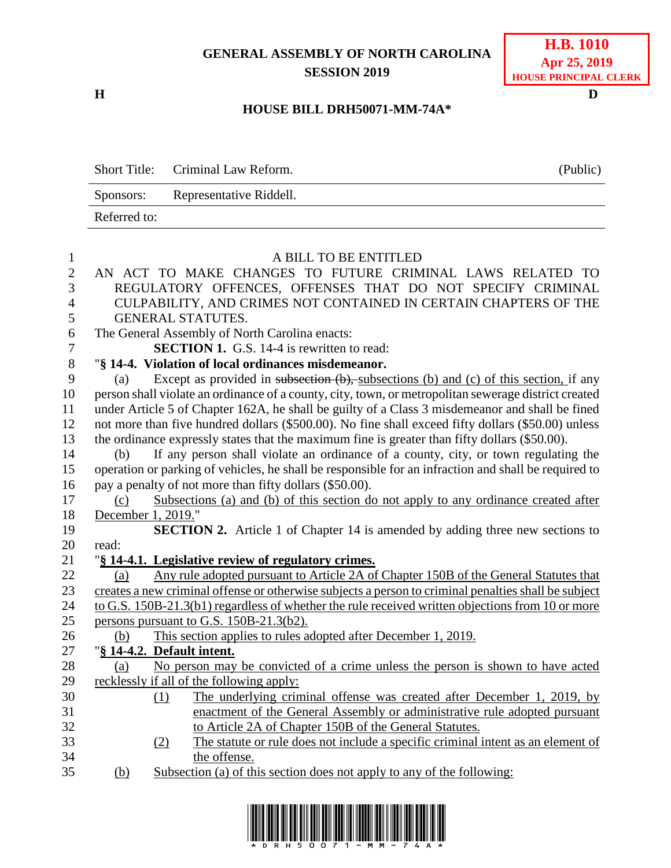## **GENERAL ASSEMBLY OF NORTH CAROLINA SESSION 2019**

**H D**

## **HOUSE BILL DRH50071-MM-74A\***

|    | <b>Short Title:</b><br>Criminal Law Reform.<br>(Public)                                              |  |  |  |
|----|------------------------------------------------------------------------------------------------------|--|--|--|
|    | Representative Riddell.<br>Sponsors:                                                                 |  |  |  |
|    | Referred to:                                                                                         |  |  |  |
|    |                                                                                                      |  |  |  |
|    | A BILL TO BE ENTITLED                                                                                |  |  |  |
|    | AN ACT TO MAKE CHANGES TO FUTURE CRIMINAL LAWS RELATED TO                                            |  |  |  |
| 3  | REGULATORY OFFENCES, OFFENSES THAT DO NOT SPECIFY CRIMINAL                                           |  |  |  |
| 4  | CULPABILITY, AND CRIMES NOT CONTAINED IN CERTAIN CHAPTERS OF THE                                     |  |  |  |
| 5  | <b>GENERAL STATUTES.</b>                                                                             |  |  |  |
| 6  | The General Assembly of North Carolina enacts:                                                       |  |  |  |
| 7  | <b>SECTION 1.</b> G.S. 14-4 is rewritten to read:                                                    |  |  |  |
| 8  | "§ 14-4. Violation of local ordinances misdemeanor.                                                  |  |  |  |
| 9  | Except as provided in subsection (b), subsections (b) and (c) of this section, if any<br>(a)         |  |  |  |
| 10 | person shall violate an ordinance of a county, city, town, or metropolitan sewerage district created |  |  |  |
| 11 | under Article 5 of Chapter 162A, he shall be guilty of a Class 3 misdemeanor and shall be fined      |  |  |  |
| 12 | not more than five hundred dollars (\$500.00). No fine shall exceed fifty dollars (\$50.00) unless   |  |  |  |

the ordinance expressly states that the maximum fine is greater than fifty dollars (\$50.00).

 (b) If any person shall violate an ordinance of a county, city, or town regulating the operation or parking of vehicles, he shall be responsible for an infraction and shall be required to pay a penalty of not more than fifty dollars (\$50.00).

- (c) Subsections (a) and (b) of this section do not apply to any ordinance created after December 1, 2019."
- **SECTION 2.** Article 1 of Chapter 14 is amended by adding three new sections to read:
- "**§ 14-4.1. Legislative review of regulatory crimes.** (a) Any rule adopted pursuant to Article 2A of Chapter 150B of the General Statutes that
- creates a new criminal offense or otherwise subjects a person to criminal penalties shall be subject to G.S. 150B-21.3(b1) regardless of whether the rule received written objections from 10 or more 25 persons pursuant to G.S. 150B-21.3(b2).
- (b) This section applies to rules adopted after December 1, 2019.
- "**§ 14-4.2. Default intent.**
- (a) No person may be convicted of a crime unless the person is shown to have acted recklessly if all of the following apply:
- (1) The underlying criminal offense was created after December 1, 2019, by enactment of the General Assembly or administrative rule adopted pursuant to Article 2A of Chapter 150B of the General Statutes.
- (2) The statute or rule does not include a specific criminal intent as an element of the offense.
- (b) Subsection (a) of this section does not apply to any of the following: